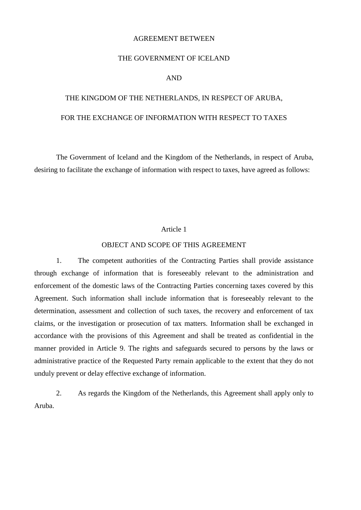#### AGREEMENT BETWEEN

# THE GOVERNMENT OF ICELAND

# AND

# THE KINGDOM OF THE NETHERLANDS, IN RESPECT OF ARUBA, FOR THE EXCHANGE OF INFORMATION WITH RESPECT TO TAXES

The Government of Iceland and the Kingdom of the Netherlands, in respect of Aruba, desiring to facilitate the exchange of information with respect to taxes, have agreed as follows:

# Article 1

# OBJECT AND SCOPE OF THIS AGREEMENT

1. The competent authorities of the Contracting Parties shall provide assistance through exchange of information that is foreseeably relevant to the administration and enforcement of the domestic laws of the Contracting Parties concerning taxes covered by this Agreement. Such information shall include information that is foreseeably relevant to the determination, assessment and collection of such taxes, the recovery and enforcement of tax claims, or the investigation or prosecution of tax matters. Information shall be exchanged in accordance with the provisions of this Agreement and shall be treated as confidential in the manner provided in Article 9. The rights and safeguards secured to persons by the laws or administrative practice of the Requested Party remain applicable to the extent that they do not unduly prevent or delay effective exchange of information.

2. As regards the Kingdom of the Netherlands, this Agreement shall apply only to Aruba.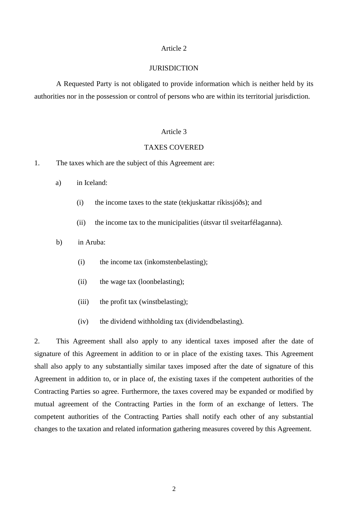#### JURISDICTION

A Requested Party is not obligated to provide information which is neither held by its authorities nor in the possession or control of persons who are within its territorial jurisdiction.

# Article 3

# TAXES COVERED

1. The taxes which are the subject of this Agreement are:

- a) in Iceland:
	- (i) the income taxes to the state (tekjuskattar ríkissjóðs); and
	- (ii) the income tax to the municipalities (útsvar til sveitarfélaganna).
- b) in Aruba:
	- (i) the income tax (inkomstenbelasting);
	- (ii) the wage tax (loonbelasting);
	- (iii) the profit tax (winstbelasting);
	- (iv) the dividend withholding tax (dividendbelasting).

2. This Agreement shall also apply to any identical taxes imposed after the date of signature of this Agreement in addition to or in place of the existing taxes. This Agreement shall also apply to any substantially similar taxes imposed after the date of signature of this Agreement in addition to, or in place of, the existing taxes if the competent authorities of the Contracting Parties so agree. Furthermore, the taxes covered may be expanded or modified by mutual agreement of the Contracting Parties in the form of an exchange of letters. The competent authorities of the Contracting Parties shall notify each other of any substantial changes to the taxation and related information gathering measures covered by this Agreement.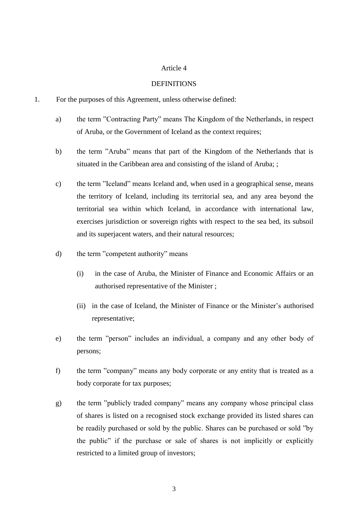#### DEFINITIONS

- 1. For the purposes of this Agreement, unless otherwise defined:
	- a) the term "Contracting Party" means The Kingdom of the Netherlands, in respect of Aruba, or the Government of Iceland as the context requires;
	- b) the term "Aruba" means that part of the Kingdom of the Netherlands that is situated in the Caribbean area and consisting of the island of Aruba; ;
	- c) the term "Iceland" means Iceland and, when used in a geographical sense, means the territory of Iceland, including its territorial sea, and any area beyond the territorial sea within which Iceland, in accordance with international law, exercises jurisdiction or sovereign rights with respect to the sea bed, its subsoil and its superjacent waters, and their natural resources;
	- d) the term "competent authority" means
		- (i) in the case of Aruba, the Minister of Finance and Economic Affairs or an authorised representative of the Minister ;
		- (ii) in the case of Iceland, the Minister of Finance or the Minister's authorised representative;
	- e) the term "person" includes an individual, a company and any other body of persons;
	- f) the term "company" means any body corporate or any entity that is treated as a body corporate for tax purposes;
	- g) the term "publicly traded company" means any company whose principal class of shares is listed on a recognised stock exchange provided its listed shares can be readily purchased or sold by the public. Shares can be purchased or sold "by the public" if the purchase or sale of shares is not implicitly or explicitly restricted to a limited group of investors;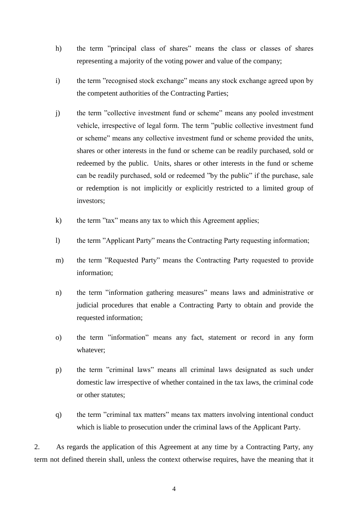- h) the term "principal class of shares" means the class or classes of shares representing a majority of the voting power and value of the company;
- i) the term "recognised stock exchange" means any stock exchange agreed upon by the competent authorities of the Contracting Parties;
- j) the term "collective investment fund or scheme" means any pooled investment vehicle, irrespective of legal form. The term "public collective investment fund or scheme" means any collective investment fund or scheme provided the units, shares or other interests in the fund or scheme can be readily purchased, sold or redeemed by the public. Units, shares or other interests in the fund or scheme can be readily purchased, sold or redeemed "by the public" if the purchase, sale or redemption is not implicitly or explicitly restricted to a limited group of investors;
- k) the term "tax" means any tax to which this Agreement applies;
- l) the term "Applicant Party" means the Contracting Party requesting information;
- m) the term "Requested Party" means the Contracting Party requested to provide information;
- n) the term "information gathering measures" means laws and administrative or judicial procedures that enable a Contracting Party to obtain and provide the requested information;
- o) the term "information" means any fact, statement or record in any form whatever;
- p) the term "criminal laws" means all criminal laws designated as such under domestic law irrespective of whether contained in the tax laws, the criminal code or other statutes;
- q) the term "criminal tax matters" means tax matters involving intentional conduct which is liable to prosecution under the criminal laws of the Applicant Party.

2. As regards the application of this Agreement at any time by a Contracting Party, any term not defined therein shall, unless the context otherwise requires, have the meaning that it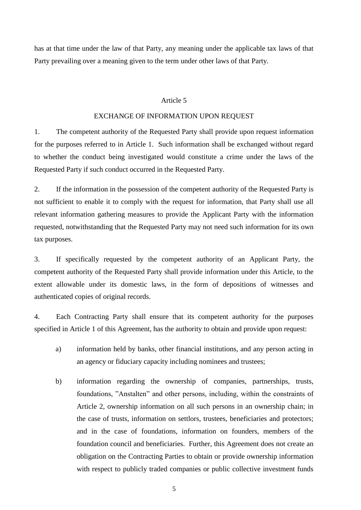has at that time under the law of that Party, any meaning under the applicable tax laws of that Party prevailing over a meaning given to the term under other laws of that Party.

# Article 5

# EXCHANGE OF INFORMATION UPON REQUEST

1. The competent authority of the Requested Party shall provide upon request information for the purposes referred to in Article 1. Such information shall be exchanged without regard to whether the conduct being investigated would constitute a crime under the laws of the Requested Party if such conduct occurred in the Requested Party.

2. If the information in the possession of the competent authority of the Requested Party is not sufficient to enable it to comply with the request for information, that Party shall use all relevant information gathering measures to provide the Applicant Party with the information requested, notwithstanding that the Requested Party may not need such information for its own tax purposes.

3. If specifically requested by the competent authority of an Applicant Party, the competent authority of the Requested Party shall provide information under this Article, to the extent allowable under its domestic laws, in the form of depositions of witnesses and authenticated copies of original records.

4. Each Contracting Party shall ensure that its competent authority for the purposes specified in Article 1 of this Agreement, has the authority to obtain and provide upon request:

- a) information held by banks, other financial institutions, and any person acting in an agency or fiduciary capacity including nominees and trustees;
- b) information regarding the ownership of companies, partnerships, trusts, foundations, "Anstalten" and other persons, including, within the constraints of Article 2, ownership information on all such persons in an ownership chain; in the case of trusts, information on settlors, trustees, beneficiaries and protectors; and in the case of foundations, information on founders, members of the foundation council and beneficiaries. Further, this Agreement does not create an obligation on the Contracting Parties to obtain or provide ownership information with respect to publicly traded companies or public collective investment funds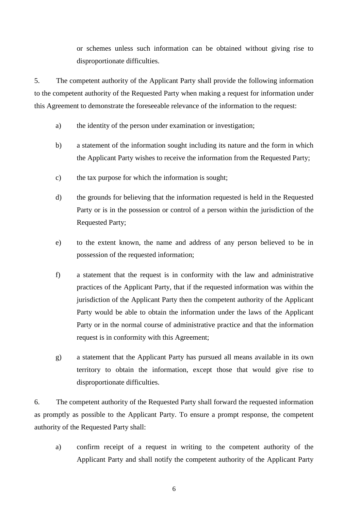or schemes unless such information can be obtained without giving rise to disproportionate difficulties.

5. The competent authority of the Applicant Party shall provide the following information to the competent authority of the Requested Party when making a request for information under this Agreement to demonstrate the foreseeable relevance of the information to the request:

- a) the identity of the person under examination or investigation;
- b) a statement of the information sought including its nature and the form in which the Applicant Party wishes to receive the information from the Requested Party;
- c) the tax purpose for which the information is sought;
- d) the grounds for believing that the information requested is held in the Requested Party or is in the possession or control of a person within the jurisdiction of the Requested Party;
- e) to the extent known, the name and address of any person believed to be in possession of the requested information;
- f) a statement that the request is in conformity with the law and administrative practices of the Applicant Party, that if the requested information was within the jurisdiction of the Applicant Party then the competent authority of the Applicant Party would be able to obtain the information under the laws of the Applicant Party or in the normal course of administrative practice and that the information request is in conformity with this Agreement;
- g) a statement that the Applicant Party has pursued all means available in its own territory to obtain the information, except those that would give rise to disproportionate difficulties.

6. The competent authority of the Requested Party shall forward the requested information as promptly as possible to the Applicant Party. To ensure a prompt response, the competent authority of the Requested Party shall:

a) confirm receipt of a request in writing to the competent authority of the Applicant Party and shall notify the competent authority of the Applicant Party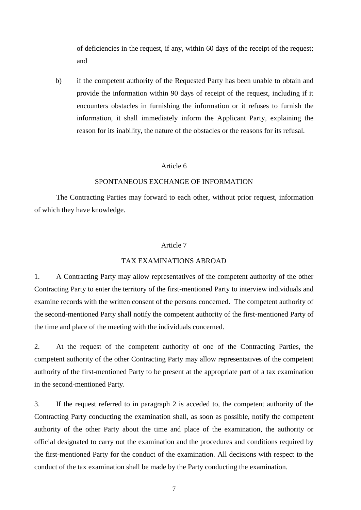of deficiencies in the request, if any, within 60 days of the receipt of the request; and

b) if the competent authority of the Requested Party has been unable to obtain and provide the information within 90 days of receipt of the request, including if it encounters obstacles in furnishing the information or it refuses to furnish the information, it shall immediately inform the Applicant Party, explaining the reason for its inability, the nature of the obstacles or the reasons for its refusal.

## Article 6

# SPONTANEOUS EXCHANGE OF INFORMATION

The Contracting Parties may forward to each other, without prior request, information of which they have knowledge.

#### Article 7

#### TAX EXAMINATIONS ABROAD

1. A Contracting Party may allow representatives of the competent authority of the other Contracting Party to enter the territory of the first-mentioned Party to interview individuals and examine records with the written consent of the persons concerned. The competent authority of the second-mentioned Party shall notify the competent authority of the first-mentioned Party of the time and place of the meeting with the individuals concerned.

2. At the request of the competent authority of one of the Contracting Parties, the competent authority of the other Contracting Party may allow representatives of the competent authority of the first-mentioned Party to be present at the appropriate part of a tax examination in the second-mentioned Party.

3. If the request referred to in paragraph 2 is acceded to, the competent authority of the Contracting Party conducting the examination shall, as soon as possible, notify the competent authority of the other Party about the time and place of the examination, the authority or official designated to carry out the examination and the procedures and conditions required by the first-mentioned Party for the conduct of the examination. All decisions with respect to the conduct of the tax examination shall be made by the Party conducting the examination.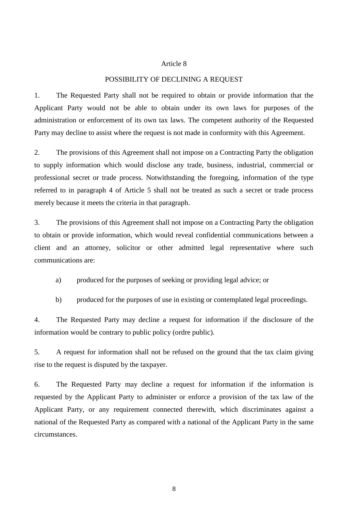## POSSIBILITY OF DECLINING A REQUEST

1. The Requested Party shall not be required to obtain or provide information that the Applicant Party would not be able to obtain under its own laws for purposes of the administration or enforcement of its own tax laws. The competent authority of the Requested Party may decline to assist where the request is not made in conformity with this Agreement.

2. The provisions of this Agreement shall not impose on a Contracting Party the obligation to supply information which would disclose any trade, business, industrial, commercial or professional secret or trade process. Notwithstanding the foregoing, information of the type referred to in paragraph 4 of Article 5 shall not be treated as such a secret or trade process merely because it meets the criteria in that paragraph.

3. The provisions of this Agreement shall not impose on a Contracting Party the obligation to obtain or provide information, which would reveal confidential communications between a client and an attorney, solicitor or other admitted legal representative where such communications are:

- a) produced for the purposes of seeking or providing legal advice; or
- b) produced for the purposes of use in existing or contemplated legal proceedings.

4. The Requested Party may decline a request for information if the disclosure of the information would be contrary to public policy (ordre public).

5. A request for information shall not be refused on the ground that the tax claim giving rise to the request is disputed by the taxpayer.

6. The Requested Party may decline a request for information if the information is requested by the Applicant Party to administer or enforce a provision of the tax law of the Applicant Party, or any requirement connected therewith, which discriminates against a national of the Requested Party as compared with a national of the Applicant Party in the same circumstances.

8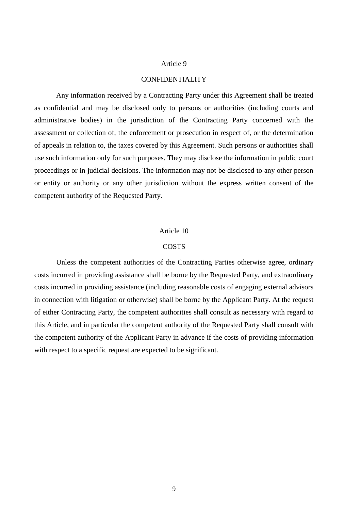# CONFIDENTIALITY

Any information received by a Contracting Party under this Agreement shall be treated as confidential and may be disclosed only to persons or authorities (including courts and administrative bodies) in the jurisdiction of the Contracting Party concerned with the assessment or collection of, the enforcement or prosecution in respect of, or the determination of appeals in relation to, the taxes covered by this Agreement. Such persons or authorities shall use such information only for such purposes. They may disclose the information in public court proceedings or in judicial decisions. The information may not be disclosed to any other person or entity or authority or any other jurisdiction without the express written consent of the competent authority of the Requested Party.

#### Article 10

#### COSTS

Unless the competent authorities of the Contracting Parties otherwise agree, ordinary costs incurred in providing assistance shall be borne by the Requested Party, and extraordinary costs incurred in providing assistance (including reasonable costs of engaging external advisors in connection with litigation or otherwise) shall be borne by the Applicant Party. At the request of either Contracting Party, the competent authorities shall consult as necessary with regard to this Article, and in particular the competent authority of the Requested Party shall consult with the competent authority of the Applicant Party in advance if the costs of providing information with respect to a specific request are expected to be significant.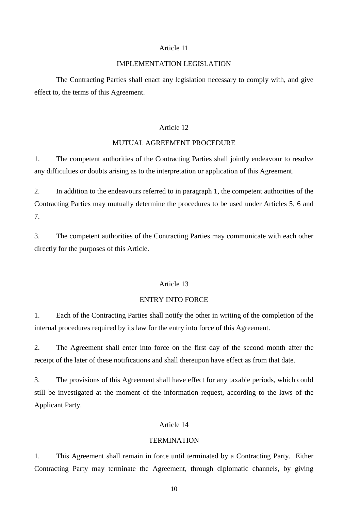## IMPLEMENTATION LEGISLATION

The Contracting Parties shall enact any legislation necessary to comply with, and give effect to, the terms of this Agreement.

# Article 12

# MUTUAL AGREEMENT PROCEDURE

1. The competent authorities of the Contracting Parties shall jointly endeavour to resolve any difficulties or doubts arising as to the interpretation or application of this Agreement.

2. In addition to the endeavours referred to in paragraph 1, the competent authorities of the Contracting Parties may mutually determine the procedures to be used under Articles 5, 6 and 7.

3. The competent authorities of the Contracting Parties may communicate with each other directly for the purposes of this Article.

# Article 13

#### ENTRY INTO FORCE

1. Each of the Contracting Parties shall notify the other in writing of the completion of the internal procedures required by its law for the entry into force of this Agreement.

2. The Agreement shall enter into force on the first day of the second month after the receipt of the later of these notifications and shall thereupon have effect as from that date.

3. The provisions of this Agreement shall have effect for any taxable periods, which could still be investigated at the moment of the information request, according to the laws of the Applicant Party.

# Article 14

# **TERMINATION**

1. This Agreement shall remain in force until terminated by a Contracting Party. Either Contracting Party may terminate the Agreement, through diplomatic channels, by giving